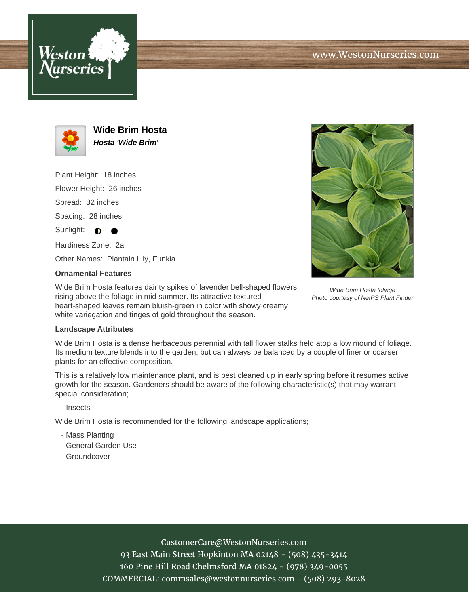



**Wide Brim Hosta Hosta 'Wide Brim'**

Plant Height: 18 inches

Flower Height: 26 inches

Spread: 32 inches

Spacing: 28 inches

Sunlight:  $\bullet$ 

Hardiness Zone: 2a

Other Names: Plantain Lily, Funkia

## **Ornamental Features**

Wide Brim Hosta features dainty spikes of lavender bell-shaped flowers rising above the foliage in mid summer. Its attractive textured heart-shaped leaves remain bluish-green in color with showy creamy white variegation and tinges of gold throughout the season.

## **Landscape Attributes**

Wide Brim Hosta is a dense herbaceous perennial with tall flower stalks held atop a low mound of foliage. Its medium texture blends into the garden, but can always be balanced by a couple of finer or coarser plants for an effective composition.

This is a relatively low maintenance plant, and is best cleaned up in early spring before it resumes active growth for the season. Gardeners should be aware of the following characteristic(s) that may warrant special consideration;

- Insects

Wide Brim Hosta is recommended for the following landscape applications;

- Mass Planting
- General Garden Use
- Groundcover



Wide Brim Hosta foliage Photo courtesy of NetPS Plant Finder

## CustomerCare@WestonNurseries.com

93 East Main Street Hopkinton MA 02148 - (508) 435-3414 160 Pine Hill Road Chelmsford MA 01824 - (978) 349-0055 COMMERCIAL: commsales@westonnurseries.com - (508) 293-8028